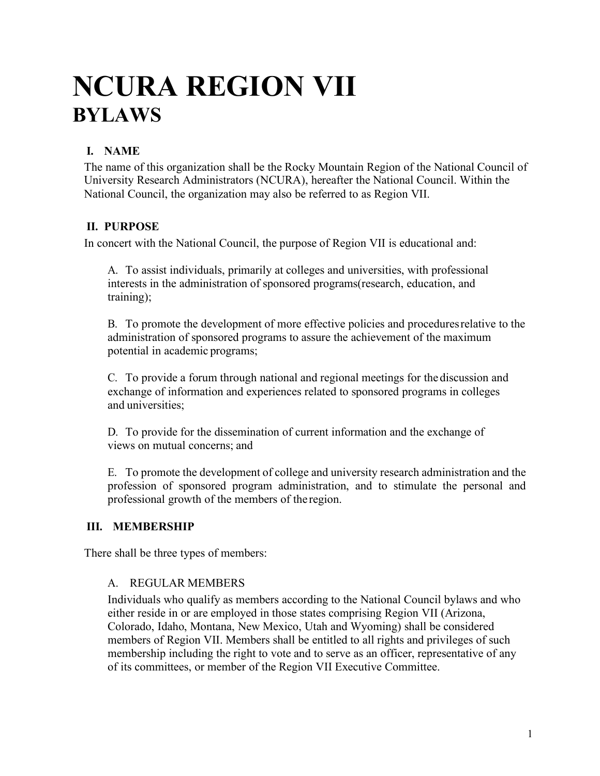# **NCURA REGION VII BYLAWS**

# **I. NAME**

The name of this organization shall be the Rocky Mountain Region of the National Council of University Research Administrators (NCURA), hereafter the National Council. Within the National Council, the organization may also be referred to as Region VII.

# **II. PURPOSE**

In concert with the National Council, the purpose of Region VII is educational and:

A. To assist individuals, primarily at colleges and universities, with professional interests in the administration of sponsored programs(research, education, and training);

B. To promote the development of more effective policies and proceduresrelative to the administration of sponsored programs to assure the achievement of the maximum potential in academic programs;

C. To provide a forum through national and regional meetings for the discussion and exchange of information and experiences related to sponsored programs in colleges and universities;

D. To provide for the dissemination of current information and the exchange of views on mutual concerns; and

E. To promote the development of college and university research administration and the profession of sponsored program administration, and to stimulate the personal and professional growth of the members of the region.

## **III. MEMBERSHIP**

There shall be three types of members:

## A. REGULAR MEMBERS

Individuals who qualify as members according to the National Council bylaws and who either reside in or are employed in those states comprising Region VII (Arizona, Colorado, Idaho, Montana, New Mexico, Utah and Wyoming) shall be considered members of Region VII. Members shall be entitled to all rights and privileges of such membership including the right to vote and to serve as an officer, representative of any of its committees, or member of the Region VII Executive Committee.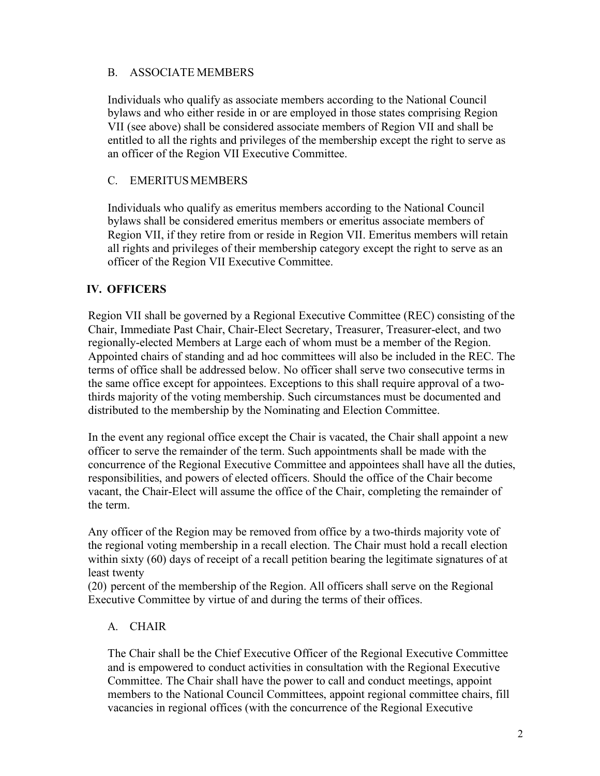#### B. ASSOCIATE MEMBERS

Individuals who qualify as associate members according to the National Council bylaws and who either reside in or are employed in those states comprising Region VII (see above) shall be considered associate members of Region VII and shall be entitled to all the rights and privileges of the membership except the right to serve as an officer of the Region VII Executive Committee.

#### C. EMERITUSMEMBERS

Individuals who qualify as emeritus members according to the National Council bylaws shall be considered emeritus members or emeritus associate members of Region VII, if they retire from or reside in Region VII. Emeritus members will retain all rights and privileges of their membership category except the right to serve as an officer of the Region VII Executive Committee.

#### **IV. OFFICERS**

Region VII shall be governed by a Regional Executive Committee (REC) consisting of the Chair, Immediate Past Chair, Chair-Elect Secretary, Treasurer, Treasurer-elect, and two regionally-elected Members at Large each of whom must be a member of the Region. Appointed chairs of standing and ad hoc committees will also be included in the REC. The terms of office shall be addressed below. No officer shall serve two consecutive terms in the same office except for appointees. Exceptions to this shall require approval of a twothirds majority of the voting membership. Such circumstances must be documented and distributed to the membership by the Nominating and Election Committee.

In the event any regional office except the Chair is vacated, the Chair shall appoint a new officer to serve the remainder of the term. Such appointments shall be made with the concurrence of the Regional Executive Committee and appointees shall have all the duties, responsibilities, and powers of elected officers. Should the office of the Chair become vacant, the Chair-Elect will assume the office of the Chair, completing the remainder of the term.

Any officer of the Region may be removed from office by a two-thirds majority vote of the regional voting membership in a recall election. The Chair must hold a recall election within sixty (60) days of receipt of a recall petition bearing the legitimate signatures of at least twenty

(20) percent of the membership of the Region. All officers shall serve on the Regional Executive Committee by virtue of and during the terms of their offices.

#### A. CHAIR

The Chair shall be the Chief Executive Officer of the Regional Executive Committee and is empowered to conduct activities in consultation with the Regional Executive Committee. The Chair shall have the power to call and conduct meetings, appoint members to the National Council Committees, appoint regional committee chairs, fill vacancies in regional offices (with the concurrence of the Regional Executive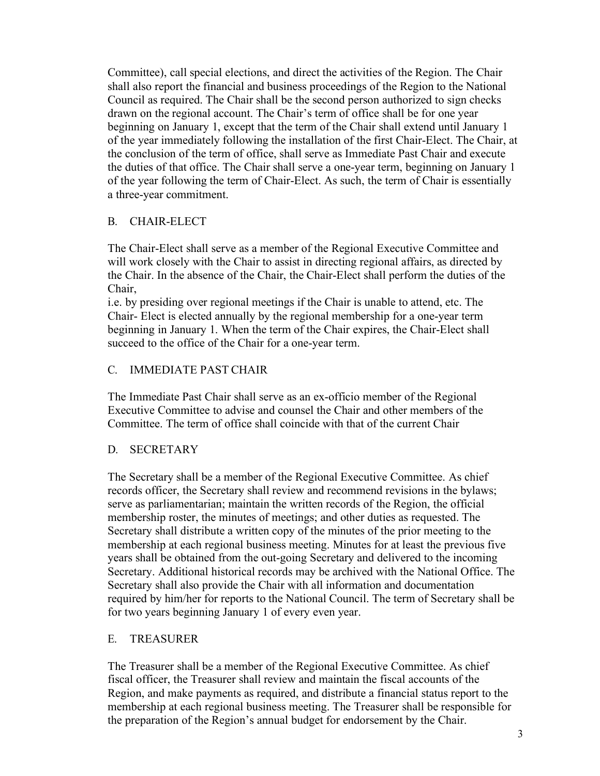Committee), call special elections, and direct the activities of the Region. The Chair shall also report the financial and business proceedings of the Region to the National Council as required. The Chair shall be the second person authorized to sign checks drawn on the regional account. The Chair's term of office shall be for one year beginning on January 1, except that the term of the Chair shall extend until January 1 of the year immediately following the installation of the first Chair-Elect. The Chair, at the conclusion of the term of office, shall serve as Immediate Past Chair and execute the duties of that office. The Chair shall serve a one-year term, beginning on January 1 of the year following the term of Chair-Elect. As such, the term of Chair is essentially a three-year commitment.

#### B. CHAIR-ELECT

The Chair-Elect shall serve as a member of the Regional Executive Committee and will work closely with the Chair to assist in directing regional affairs, as directed by the Chair. In the absence of the Chair, the Chair-Elect shall perform the duties of the Chair,

i.e. by presiding over regional meetings if the Chair is unable to attend, etc. The Chair- Elect is elected annually by the regional membership for a one-year term beginning in January 1. When the term of the Chair expires, the Chair-Elect shall succeed to the office of the Chair for a one-year term.

#### C. IMMEDIATE PAST CHAIR

The Immediate Past Chair shall serve as an ex-officio member of the Regional Executive Committee to advise and counsel the Chair and other members of the Committee. The term of office shall coincide with that of the current Chair

#### D. SECRETARY

The Secretary shall be a member of the Regional Executive Committee. As chief records officer, the Secretary shall review and recommend revisions in the bylaws; serve as parliamentarian; maintain the written records of the Region, the official membership roster, the minutes of meetings; and other duties as requested. The Secretary shall distribute a written copy of the minutes of the prior meeting to the membership at each regional business meeting. Minutes for at least the previous five years shall be obtained from the out-going Secretary and delivered to the incoming Secretary. Additional historical records may be archived with the National Office. The Secretary shall also provide the Chair with all information and documentation required by him/her for reports to the National Council. The term of Secretary shall be for two years beginning January 1 of every even year.

#### E. TREASURER

The Treasurer shall be a member of the Regional Executive Committee. As chief fiscal officer, the Treasurer shall review and maintain the fiscal accounts of the Region, and make payments as required, and distribute a financial status report to the membership at each regional business meeting. The Treasurer shall be responsible for the preparation of the Region's annual budget for endorsement by the Chair.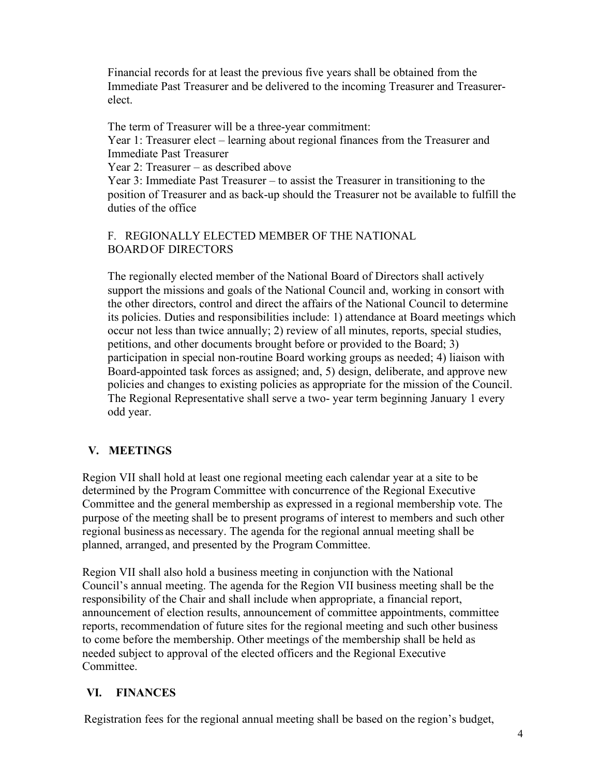Financial records for at least the previous five years shall be obtained from the Immediate Past Treasurer and be delivered to the incoming Treasurer and Treasurerelect.

The term of Treasurer will be a three-year commitment: Year 1: Treasurer elect – learning about regional finances from the Treasurer and Immediate Past Treasurer

Year 2: Treasurer – as described above

Year 3: Immediate Past Treasurer – to assist the Treasurer in transitioning to the position of Treasurer and as back-up should the Treasurer not be available to fulfill the duties of the office

#### F. REGIONALLY ELECTED MEMBER OF THE NATIONAL BOARDOF DIRECTORS

The regionally elected member of the National Board of Directors shall actively support the missions and goals of the National Council and, working in consort with the other directors, control and direct the affairs of the National Council to determine its policies. Duties and responsibilities include: 1) attendance at Board meetings which occur not less than twice annually; 2) review of all minutes, reports, special studies, petitions, and other documents brought before or provided to the Board; 3) participation in special non-routine Board working groups as needed; 4) liaison with Board-appointed task forces as assigned; and, 5) design, deliberate, and approve new policies and changes to existing policies as appropriate for the mission of the Council. The Regional Representative shall serve a two- year term beginning January 1 every odd year.

## **V. MEETINGS**

Region VII shall hold at least one regional meeting each calendar year at a site to be determined by the Program Committee with concurrence of the Regional Executive Committee and the general membership as expressed in a regional membership vote. The purpose of the meeting shall be to present programs of interest to members and such other regional business as necessary. The agenda for the regional annual meeting shall be planned, arranged, and presented by the Program Committee.

Region VII shall also hold a business meeting in conjunction with the National Council's annual meeting. The agenda for the Region VII business meeting shall be the responsibility of the Chair and shall include when appropriate, a financial report, announcement of election results, announcement of committee appointments, committee reports, recommendation of future sites for the regional meeting and such other business to come before the membership. Other meetings of the membership shall be held as needed subject to approval of the elected officers and the Regional Executive Committee.

## **VI. FINANCES**

Registration fees for the regional annual meeting shall be based on the region's budget,